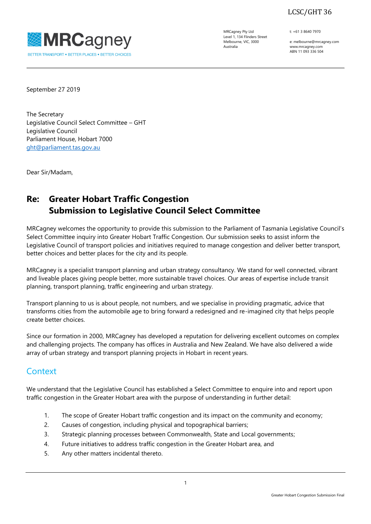LCSC/GHT 36



MRCagney Pty Ltd Level 1, 134 Flinders Street Melbourne, VIC, 3000 Australia

t: +61 3 8640 7970

e: melbourne@mrcagney.com www.mrcagney.com ABN 11 093 336 504

September 27 2019

The Secretary Legislative Council Select Committee – GHT Legislative Council Parliament House, Hobart 7000 [ght@parliament.tas.gov.au](mailto:ght@parliament.tas.gov.au)

Dear Sir/Madam,

# **Re: Greater Hobart Traffic Congestion Submission to Legislative Council Select Committee**

MRCagney welcomes the opportunity to provide this submission to the Parliament of Tasmania Legislative Council's Select Committee inquiry into Greater Hobart Traffic Congestion. Our submission seeks to assist inform the Legislative Council of transport policies and initiatives required to manage congestion and deliver better transport, better choices and better places for the city and its people.

MRCagney is a specialist transport planning and urban strategy consultancy. We stand for well connected, vibrant and liveable places giving people better, more sustainable travel choices. Our areas of expertise include transit planning, transport planning, traffic engineering and urban strategy.

Transport planning to us is about people, not numbers, and we specialise in providing pragmatic, advice that transforms cities from the automobile age to bring forward a redesigned and re-imagined city that helps people create better choices.

Since our formation in 2000, MRCagney has developed a reputation for delivering excellent outcomes on complex and challenging projects. The company has offices in Australia and New Zealand. We have also delivered a wide array of urban strategy and transport planning projects in Hobart in recent years.

# **Context**

We understand that the Legislative Council has established a Select Committee to enquire into and report upon traffic congestion in the Greater Hobart area with the purpose of understanding in further detail:

- 1. The scope of Greater Hobart traffic congestion and its impact on the community and economy;
- 2. Causes of congestion, including physical and topographical barriers;
- 3. Strategic planning processes between Commonwealth, State and Local governments;
- 4. Future initiatives to address traffic congestion in the Greater Hobart area, and
- 5. Any other matters incidental thereto.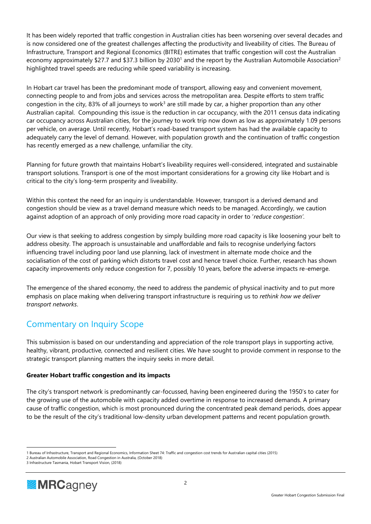It has been widely reported that traffic congestion in Australian cities has been worsening over several decades and is now considered one of the greatest challenges affecting the productivity and liveability of cities. The Bureau of Infrastructure, Transport and Regional Economics (BITRE) estimates that traffic congestion will cost the Australian economy approximately \$27.7 and \$37.3 billion by 2030<sup>1</sup> and the report by the Australian Automobile Association<sup>2</sup> highlighted travel speeds are reducing while speed variability is increasing.

In Hobart car travel has been the predominant mode of transport, allowing easy and convenient movement, connecting people to and from jobs and services across the metropolitan area. Despite efforts to stem traffic congestion in the city, 83% of all journeys to work<sup>3</sup> are still made by car, a higher proportion than any other Australian capital. Compounding this issue is the reduction in car occupancy, with the 2011 census data indicating car occupancy across Australian cities, for the journey to work trip now down as low as approximately 1.09 persons per vehicle, on average. Until recently, Hobart's road-based transport system has had the available capacity to adequately carry the level of demand. However, with population growth and the continuation of traffic congestion has recently emerged as a new challenge, unfamiliar the city.

Planning for future growth that maintains Hobart's liveability requires well-considered, integrated and sustainable transport solutions. Transport is one of the most important considerations for a growing city like Hobart and is critical to the city's long-term prosperity and liveability.

Within this context the need for an inquiry is understandable. However, transport is a derived demand and congestion should be view as a travel demand measure which needs to be managed. Accordingly, we caution against adoption of an approach of only providing more road capacity in order to '*reduce congestion'.*

Our view is that seeking to address congestion by simply building more road capacity is like loosening your belt to address obesity. The approach is unsustainable and unaffordable and fails to recognise underlying factors influencing travel including poor land use planning, lack of investment in alternate mode choice and the socialisation of the cost of parking which distorts travel cost and hence travel choice. Further, research has shown capacity improvements only reduce congestion for 7, possibly 10 years, before the adverse impacts re-emerge.

The emergence of the shared economy, the need to address the pandemic of physical inactivity and to put more emphasis on place making when delivering transport infrastructure is requiring us to *rethink how we deliver transport networks*.

# Commentary on Inquiry Scope

This submission is based on our understanding and appreciation of the role transport plays in supporting active, healthy, vibrant, productive, connected and resilient cities. We have sought to provide comment in response to the strategic transport planning matters the inquiry seeks in more detail.

# **Greater Hobart traffic congestion and its impacts**

The city's transport network is predominantly car-focussed, having been engineered during the 1950's to cater for the growing use of the automobile with capacity added overtime in response to increased demands. A primary cause of traffic congestion, which is most pronounced during the concentrated peak demand periods, does appear to be the result of the city's traditional low-density urban development patterns and recent population growth.

<sup>3</sup> Infrastructure Tasmania, Hobart Transport Vision, (2018)



<sup>1</sup> Bureau of Infrastructure, Transport and Regional Economics, Information Sheet 74: Traffic and congestion cost trends for Australian capital cities (2015)

<sup>2</sup> Australian Automobile Association, Road Congestion in Australia, (October 2018)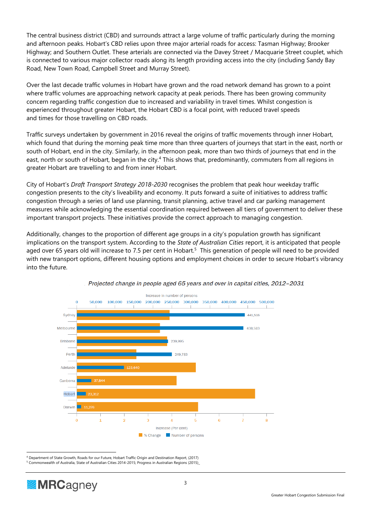The central business district (CBD) and surrounds attract a large volume of traffic particularly during the morning and afternoon peaks. Hobart's CBD relies upon three major arterial roads for access: Tasman Highway; Brooker Highway; and Southern Outlet. These arterials are connected via the Davey Street / Macquarie Street couplet, which is connected to various major collector roads along its length providing access into the city (including Sandy Bay Road, New Town Road, Campbell Street and Murray Street).

Over the last decade traffic volumes in Hobart have grown and the road network demand has grown to a point where traffic volumes are approaching network capacity at peak periods. There has been growing community concern regarding traffic congestion due to increased and variability in travel times. Whilst congestion is experienced throughout greater Hobart, the Hobart CBD is a focal point, with reduced travel speeds and times for those travelling on CBD roads.

Traffic surveys undertaken by government in 2016 reveal the origins of traffic movements through inner Hobart, which found that during the morning peak time more than three quarters of journeys that start in the east, north or south of Hobart, end in the city. Similarly, in the afternoon peak, more than two thirds of journeys that end in the east, north or south of Hobart, began in the city.<sup>4</sup> This shows that, predominantly, commuters from all regions in greater Hobart are travelling to and from inner Hobart.

City of Hobart's *Draft Transport Strategy 2018-2030* recognises the problem that peak hour weekday traffic congestion presents to the city's liveability and economy. It puts forward a suite of initiatives to address traffic congestion through a series of land use planning, transit planning, active travel and car parking management measures while acknowledging the essential coordination required between all tiers of government to deliver these important transport projects. These initiatives provide the correct approach to managing congestion.

Additionally, changes to the proportion of different age groups in a city's population growth has significant implications on the transport system. According to the *State of Australian Cities* report, it is anticipated that people aged over 65 years old will increase to 7.5 per cent in Hobart.<sup>5</sup> This generation of people will need to be provided with new transport options, different housing options and employment choices in order to secure Hobart's vibrancy into the future.





<sup>4</sup> Department of State Growth, Roads for our Future, Hobart Traffic Origin and Destination Report, (2017)

<sup>5</sup> Commonwealth of Australia, State of Australian Cities 2014-2015; Progress in Australian Regions (2015)\_

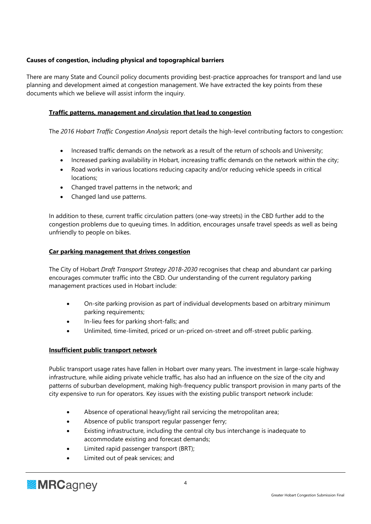# **Causes of congestion, including physical and topographical barriers**

There are many State and Council policy documents providing best-practice approaches for transport and land use planning and development aimed at congestion management. We have extracted the key points from these documents which we believe will assist inform the inquiry.

### **Traffic patterns, management and circulation that lead to congestion**

The *2016 Hobart Traffic Congestion Analysis* report details the high-level contributing factors to congestion:

- Increased traffic demands on the network as a result of the return of schools and University;
- Increased parking availability in Hobart, increasing traffic demands on the network within the city;
- Road works in various locations reducing capacity and/or reducing vehicle speeds in critical locations;
- Changed travel patterns in the network; and
- Changed land use patterns.

In addition to these, current traffic circulation patters (one-way streets) in the CBD further add to the congestion problems due to queuing times. In addition, encourages unsafe travel speeds as well as being unfriendly to people on bikes.

#### **Car parking management that drives congestion**

The City of Hobart *Draft Transport Strategy 2018-2030* recognises that cheap and abundant car parking encourages commuter traffic into the CBD. Our understanding of the current regulatory parking management practices used in Hobart include:

- On-site parking provision as part of individual developments based on arbitrary minimum parking requirements;
- In-lieu fees for parking short-falls; and
- Unlimited, time-limited, priced or un-priced on-street and off-street public parking.

# **Insufficient public transport network**

Public transport usage rates have fallen in Hobart over many years. The investment in large-scale highway infrastructure, while aiding private vehicle traffic, has also had an influence on the size of the city and patterns of suburban development, making high-frequency public transport provision in many parts of the city expensive to run for operators. Key issues with the existing public transport network include:

- Absence of operational heavy/light rail servicing the metropolitan area;
- Absence of public transport regular passenger ferry;
- Existing infrastructure, including the central city bus interchange is inadequate to accommodate existing and forecast demands;
- Limited rapid passenger transport (BRT);
- Limited out of peak services; and

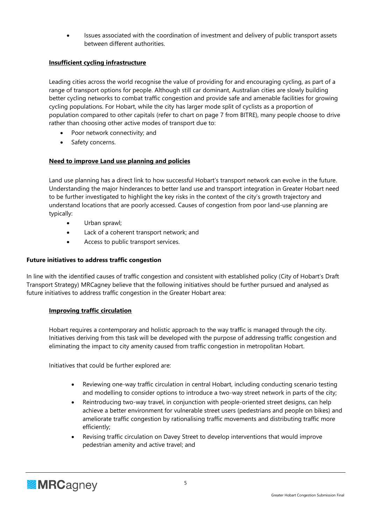• Issues associated with the coordination of investment and delivery of public transport assets between different authorities.

# **Insufficient cycling infrastructure**

Leading cities across the world recognise the value of providing for and encouraging cycling, as part of a range of transport options for people. Although still car dominant, Australian cities are slowly building better cycling networks to combat traffic congestion and provide safe and amenable facilities for growing cycling populations. For Hobart, while the city has larger mode split of cyclists as a proportion of population compared to other capitals (refer to chart on page 7 from BITRE), many people choose to drive rather than choosing other active modes of transport due to:

- Poor network connectivity; and
- Safety concerns.

#### **Need to improve Land use planning and policies**

Land use planning has a direct link to how successful Hobart's transport network can evolve in the future. Understanding the major hinderances to better land use and transport integration in Greater Hobart need to be further investigated to highlight the key risks in the context of the city's growth trajectory and understand locations that are poorly accessed. Causes of congestion from poor land-use planning are typically:

- Urban sprawl;
- Lack of a coherent transport network; and
- Access to public transport services.

# **Future initiatives to address traffic congestion**

In line with the identified causes of traffic congestion and consistent with established policy (City of Hobart's Draft Transport Strategy) MRCagney believe that the following initiatives should be further pursued and analysed as future initiatives to address traffic congestion in the Greater Hobart area:

#### **Improving traffic circulation**

Hobart requires a contemporary and holistic approach to the way traffic is managed through the city. Initiatives deriving from this task will be developed with the purpose of addressing traffic congestion and eliminating the impact to city amenity caused from traffic congestion in metropolitan Hobart.

Initiatives that could be further explored are:

- Reviewing one-way traffic circulation in central Hobart, including conducting scenario testing and modelling to consider options to introduce a two-way street network in parts of the city;
- Reintroducing two-way travel, in conjunction with people-oriented street designs, can help achieve a better environment for vulnerable street users (pedestrians and people on bikes) and ameliorate traffic congestion by rationalising traffic movements and distributing traffic more efficiently;
- Revising traffic circulation on Davey Street to develop interventions that would improve pedestrian amenity and active travel; and

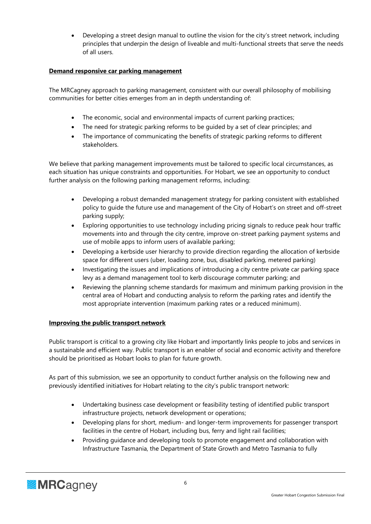• Developing a street design manual to outline the vision for the city's street network, including principles that underpin the design of liveable and multi-functional streets that serve the needs of all users.

#### **Demand responsive car parking management**

The MRCagney approach to parking management, consistent with our overall philosophy of mobilising communities for better cities emerges from an in depth understanding of:

- The economic, social and environmental impacts of current parking practices;
- The need for strategic parking reforms to be guided by a set of clear principles; and
- The importance of communicating the benefits of strategic parking reforms to different stakeholders.

We believe that parking management improvements must be tailored to specific local circumstances, as each situation has unique constraints and opportunities. For Hobart, we see an opportunity to conduct further analysis on the following parking management reforms, including:

- Developing a robust demanded management strategy for parking consistent with established policy to guide the future use and management of the City of Hobart's on street and off-street parking supply;
- Exploring opportunities to use technology including pricing signals to reduce peak hour traffic movements into and through the city centre, improve on-street parking payment systems and use of mobile apps to inform users of available parking;
- Developing a kerbside user hierarchy to provide direction regarding the allocation of kerbside space for different users (uber, loading zone, bus, disabled parking, metered parking)
- Investigating the issues and implications of introducing a city centre private car parking space levy as a demand management tool to kerb discourage commuter parking; and
- Reviewing the planning scheme standards for maximum and minimum parking provision in the central area of Hobart and conducting analysis to reform the parking rates and identify the most appropriate intervention (maximum parking rates or a reduced minimum).

#### **Improving the public transport network**

Public transport is critical to a growing city like Hobart and importantly links people to jobs and services in a sustainable and efficient way. Public transport is an enabler of social and economic activity and therefore should be prioritised as Hobart looks to plan for future growth.

As part of this submission, we see an opportunity to conduct further analysis on the following new and previously identified initiatives for Hobart relating to the city's public transport network:

- Undertaking business case development or feasibility testing of identified public transport infrastructure projects, network development or operations;
- Developing plans for short, medium- and longer-term improvements for passenger transport facilities in the centre of Hobart, including bus, ferry and light rail facilities;
- Providing guidance and developing tools to promote engagement and collaboration with Infrastructure Tasmania, the Department of State Growth and Metro Tasmania to fully

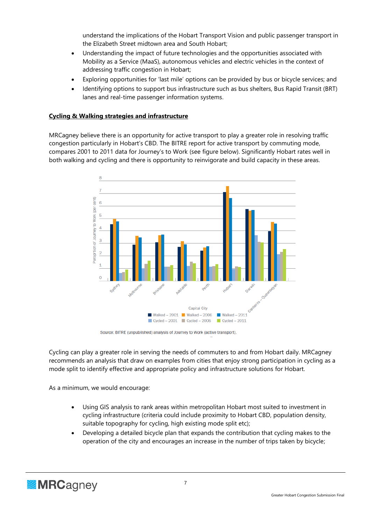understand the implications of the Hobart Transport Vision and public passenger transport in the Elizabeth Street midtown area and South Hobart;

- Understanding the impact of future technologies and the opportunities associated with Mobility as a Service (MaaS), autonomous vehicles and electric vehicles in the context of addressing traffic congestion in Hobart;
- Exploring opportunities for 'last mile' options can be provided by bus or bicycle services; and
- Identifying options to support bus infrastructure such as bus shelters, Bus Rapid Transit (BRT) lanes and real-time passenger information systems.

#### **Cycling & Walking strategies and infrastructure**

MRCagney believe there is an opportunity for active transport to play a greater role in resolving traffic congestion particularly in Hobart's CBD. The BITRE report for active transport by commuting mode, compares 2001 to 2011 data for Journey's to Work (see figure below). Significantly Hobart rates well in both walking and cycling and there is opportunity to reinvigorate and build capacity in these areas.



Source: BITRE (unpublished) analysis of Journey to Work (active transport).

Cycling can play a greater role in serving the needs of commuters to and from Hobart daily. MRCagney recommends an analysis that draw on examples from cities that enjoy strong participation in cycling as a mode split to identify effective and appropriate policy and infrastructure solutions for Hobart.

As a minimum, we would encourage:

- Using GIS analysis to rank areas within metropolitan Hobart most suited to investment in cycling infrastructure (criteria could include proximity to Hobart CBD, population density, suitable topography for cycling, high existing mode split etc);
- Developing a detailed bicycle plan that expands the contribution that cycling makes to the operation of the city and encourages an increase in the number of trips taken by bicycle;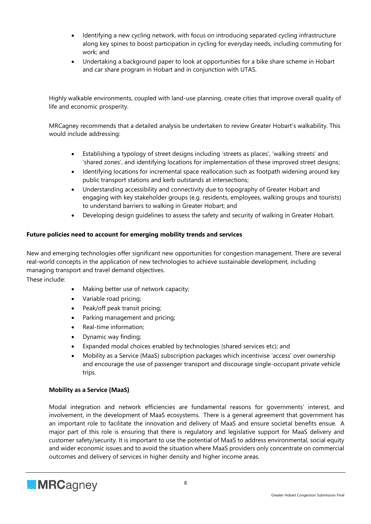- Identifying a new cycling network, with focus on introducing separated cycling infrastructure along key spines to boost participation in cycling for everyday needs, including commuting for work; and
- Undertaking a background paper to look at opportunities for a bike share scheme in Hobart and car share program in Hobart and in conjunction with UTAS.

Highly walkable environments, coupled with land-use planning, create cities that improve overall quality of life and economic prosperity.

MRCagney recommends that a detailed analysis be undertaken to review Greater Hobart's walkability. This would include addressing:

- Establishing a typology of street designs including 'streets as places', 'walking streets' and 'shared zones', and identifying locations for implementation of these improved street designs;
- Identifying locations for incremental space reallocation such as footpath widening around key public transport stations and kerb outstands at intersections;
- Understanding accessibility and connectivity due to topography of Greater Hobart and engaging with key stakeholder groups (e.g. residents, employees, walking groups and tourists) to understand barriers to walking in Greater Hobart; and
- Developing design guidelines to assess the safety and security of walking in Greater Hobart.

# **Future policies need to account for emerging mobility trends and services**

New and emerging technologies offer significant new opportunities for congestion management. There are several real-world concepts in the application of new technologies to achieve sustainable development, including managing transport and travel demand objectives.

These include:

- Making better use of network capacity;
- Variable road pricing;
- Peak/off peak transit pricing;
- Parking management and pricing;
- Real-time information;
- Dynamic way finding;
- Expanded modal choices enabled by technologies (shared services etc); and
- Mobility as a Service (MaaS) subscription packages which incentivise 'access' over ownership and encourage the use of passenger transport and discourage single-occupant private vehicle trips.

#### **Mobility as a Service (MaaS)**

Modal integration and network efficiencies are fundamental reasons for governments' interest, and involvement, in the development of MaaS ecosystems. There is a general agreement that government has an important role to facilitate the innovation and delivery of MaaS and ensure societal benefits ensue. A major part of this role is ensuring that there is regulatory and legislative support for MaaS delivery and customer safety/security. It is important to use the potential of MaaS to address environmental, social equity and wider economic issues and to avoid the situation where MaaS providers only concentrate on commercial outcomes and delivery of services in higher density and higher income areas.